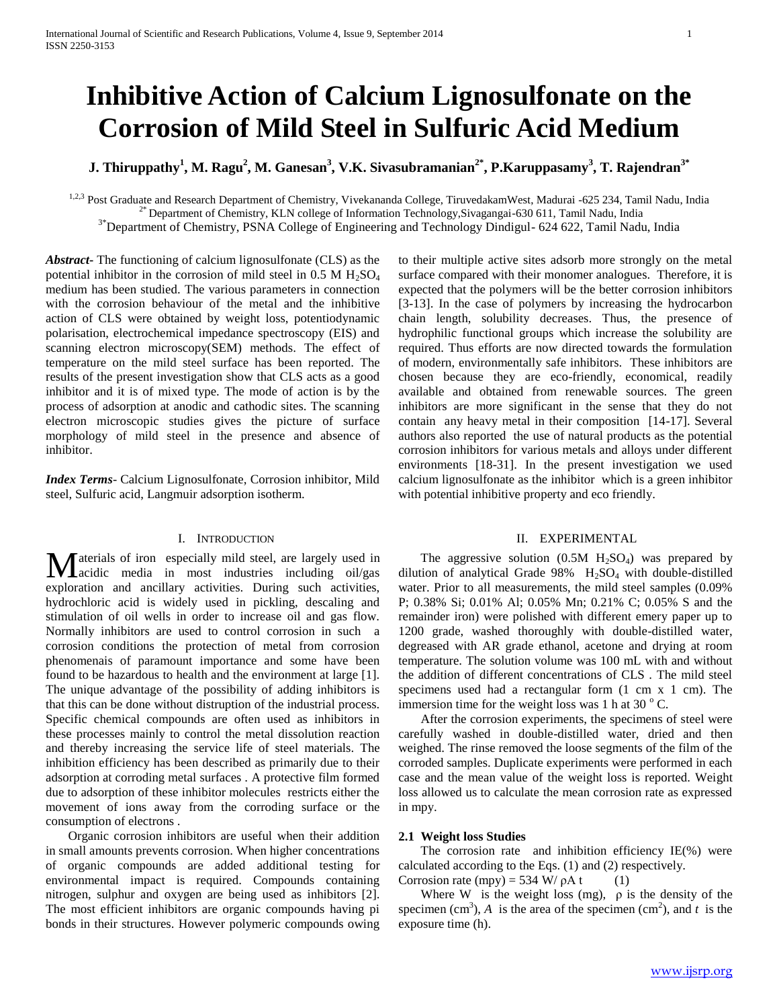# **Inhibitive Action of Calcium Lignosulfonate on the Corrosion of Mild Steel in Sulfuric Acid Medium**

**J. Thiruppathy<sup>1</sup> , M. Ragu<sup>2</sup> , M. Ganesan<sup>3</sup> , V.K. Sivasubramanian2\* , P.Karuppasamy<sup>3</sup> , T. Rajendran3\***

<sup>1,2,3</sup> Post Graduate and Research Department of Chemistry, Vivekananda College, TiruvedakamWest, Madurai -625 234, Tamil Nadu, India 2\* Department of Chemistry, KLN college of Information Technology,Sivagangai-630 611, Tamil Nadu, India

<sup>3\*</sup>Department of Chemistry, PSNA College of Engineering and Technology Dindigul- 624 622, Tamil Nadu, India

*Abstract***-** The functioning of calcium lignosulfonate (CLS) as the potential inhibitor in the corrosion of mild steel in  $0.5$  M  $H_2SO_4$ medium has been studied. The various parameters in connection with the corrosion behaviour of the metal and the inhibitive action of CLS were obtained by weight loss, potentiodynamic polarisation, electrochemical impedance spectroscopy (EIS) and scanning electron microscopy(SEM) methods. The effect of temperature on the mild steel surface has been reported. The results of the present investigation show that CLS acts as a good inhibitor and it is of mixed type. The mode of action is by the process of adsorption at anodic and cathodic sites. The scanning electron microscopic studies gives the picture of surface morphology of mild steel in the presence and absence of inhibitor.

*Index Terms*- Calcium Lignosulfonate, Corrosion inhibitor, Mild steel, Sulfuric acid, Langmuir adsorption isotherm.

## I. INTRODUCTION

**M** aterials of iron especially mild steel, are largely used in accidic media in most industries including oil/gas acidic media in most industries including oil/gas exploration and ancillary activities. During such activities, hydrochloric acid is widely used in pickling, descaling and stimulation of oil wells in order to increase oil and gas flow. Normally inhibitors are used to control corrosion in such a corrosion conditions the protection of metal from corrosion phenomenais of paramount importance and some have been found to be hazardous to health and the environment at large [1]. The unique advantage of the possibility of adding inhibitors is that this can be done without distruption of the industrial process. Specific chemical compounds are often used as inhibitors in these processes mainly to control the metal dissolution reaction and thereby increasing the service life of steel materials. The inhibition efficiency has been described as primarily due to their adsorption at corroding metal surfaces . A protective film formed due to adsorption of these inhibitor molecules restricts either the movement of ions away from the corroding surface or the consumption of electrons .

 Organic corrosion inhibitors are useful when their addition in small amounts prevents corrosion. When higher concentrations of organic compounds are added additional testing for environmental impact is required. Compounds containing nitrogen, sulphur and oxygen are being used as inhibitors [2]. The most efficient inhibitors are organic compounds having pi bonds in their structures. However polymeric compounds owing to their multiple active sites adsorb more strongly on the metal surface compared with their monomer analogues. Therefore, it is expected that the polymers will be the better corrosion inhibitors [3-13]. In the case of polymers by increasing the hydrocarbon chain length, solubility decreases. Thus, the presence of hydrophilic functional groups which increase the solubility are required. Thus efforts are now directed towards the formulation of modern, environmentally safe inhibitors. These inhibitors are chosen because they are eco-friendly, economical, readily available and obtained from renewable sources. The green inhibitors are more significant in the sense that they do not contain any heavy metal in their composition [14-17]. Several authors also reported the use of natural products as the potential corrosion inhibitors for various metals and alloys under different environments [18-31]. In the present investigation we used calcium lignosulfonate as the inhibitor which is a green inhibitor with potential inhibitive property and eco friendly.

## II. EXPERIMENTAL

The aggressive solution  $(0.5M H<sub>2</sub>SO<sub>4</sub>)$  was prepared by dilution of analytical Grade  $98\%$  H<sub>2</sub>SO<sub>4</sub> with double-distilled water. Prior to all measurements, the mild steel samples (0.09% P; 0.38% Si; 0.01% Al; 0.05% Mn; 0.21% C; 0.05% S and the remainder iron) were polished with different emery paper up to 1200 grade, washed thoroughly with double-distilled water, degreased with AR grade ethanol, acetone and drying at room temperature. The solution volume was 100 mL with and without the addition of different concentrations of CLS . The mild steel specimens used had a rectangular form (1 cm x 1 cm). The immersion time for the weight loss was 1 h at 30 $\degree$ C.

 After the corrosion experiments, the specimens of steel were carefully washed in double-distilled water, dried and then weighed. The rinse removed the loose segments of the film of the corroded samples. Duplicate experiments were performed in each case and the mean value of the weight loss is reported. Weight loss allowed us to calculate the mean corrosion rate as expressed in mpy.

#### **2.1 Weight loss Studies**

 The corrosion rate and inhibition efficiency IE(%) were calculated according to the Eqs. (1) and (2) respectively.

Corrosion rate (mpy) = 534 W/  $\rho$ A t (1)

Where W is the weight loss (mg),  $\rho$  is the density of the specimen (cm<sup>3</sup>), *A* is the area of the specimen (cm<sup>2</sup>), and *t* is the exposure time (h).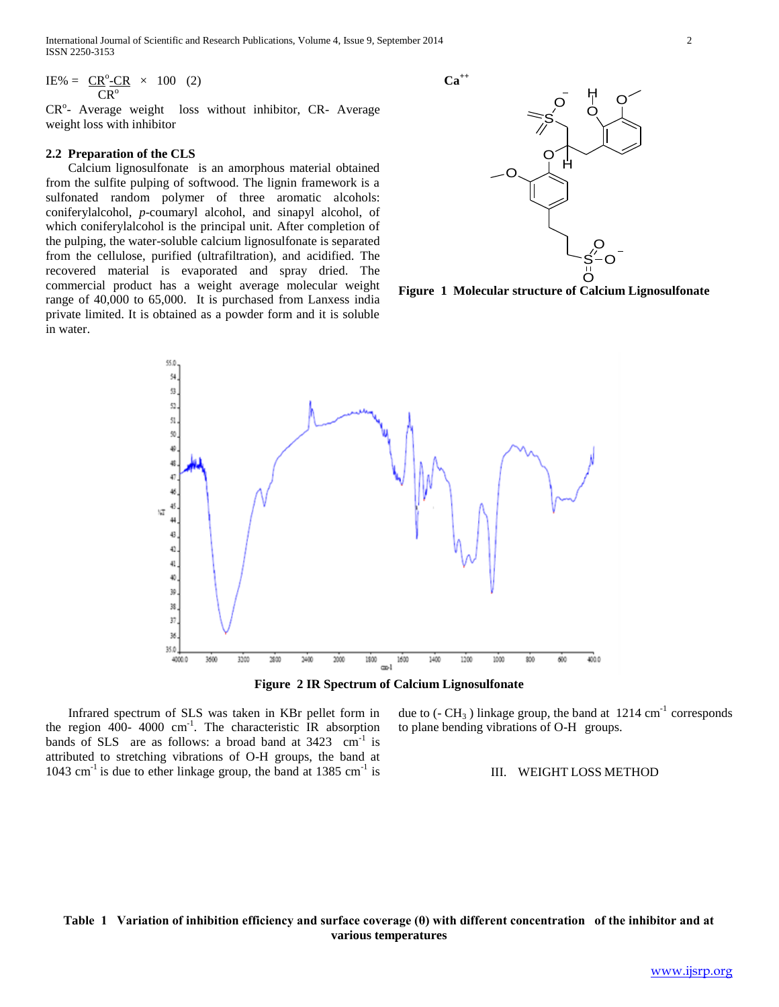International Journal of Scientific and Research Publications, Volume 4, Issue 9, September 2014 2 ISSN 2250-3153

 $\text{IE%} = \text{CR}^{\circ} \text{-CR} \times 100$  (2)  $CR^{\circ}$ 

CR<sup>o</sup>- Average weight loss without inhibitor, CR- Average weight loss with inhibitor

## **2.2 Preparation of the CLS**

 Calcium lignosulfonate is an amorphous material obtained from the sulfite pulping of softwood. The lignin framework is a sulfonated random polymer of three aromatic alcohols: coniferylalcohol, *p*-coumaryl alcohol, and sinapyl alcohol, of which coniferylalcohol is the principal unit. After completion of the pulping, the water-soluble calcium lignosulfonate is separated from the cellulose, purified (ultrafiltration), and acidified. The recovered material is evaporated and spray dried. The commercial product has a weight average molecular weight range of 40,000 to 65,000. It is purchased from Lanxess india private limited. It is obtained as a powder form and it is soluble in water.





**Figure 1 Molecular structure of Calcium Lignosulfonate**





 Infrared spectrum of SLS was taken in KBr pellet form in the region  $400$ -  $4000 \text{ cm}^{-1}$ . The characteristic IR absorption bands of SLS are as follows: a broad band at  $3423$  cm<sup>-1</sup> is attributed to stretching vibrations of O-H groups, the band at  $1043$  cm<sup>-1</sup> is due to ether linkage group, the band at 1385 cm<sup>-1</sup> is due to  $(-CH_3)$  linkage group, the band at 1214 cm<sup>-1</sup> corresponds to plane bending vibrations of O-H groups.

### III. WEIGHT LOSS METHOD

# **Table 1 Variation of inhibition efficiency and surface coverage (θ) with different concentration of the inhibitor and at various temperatures**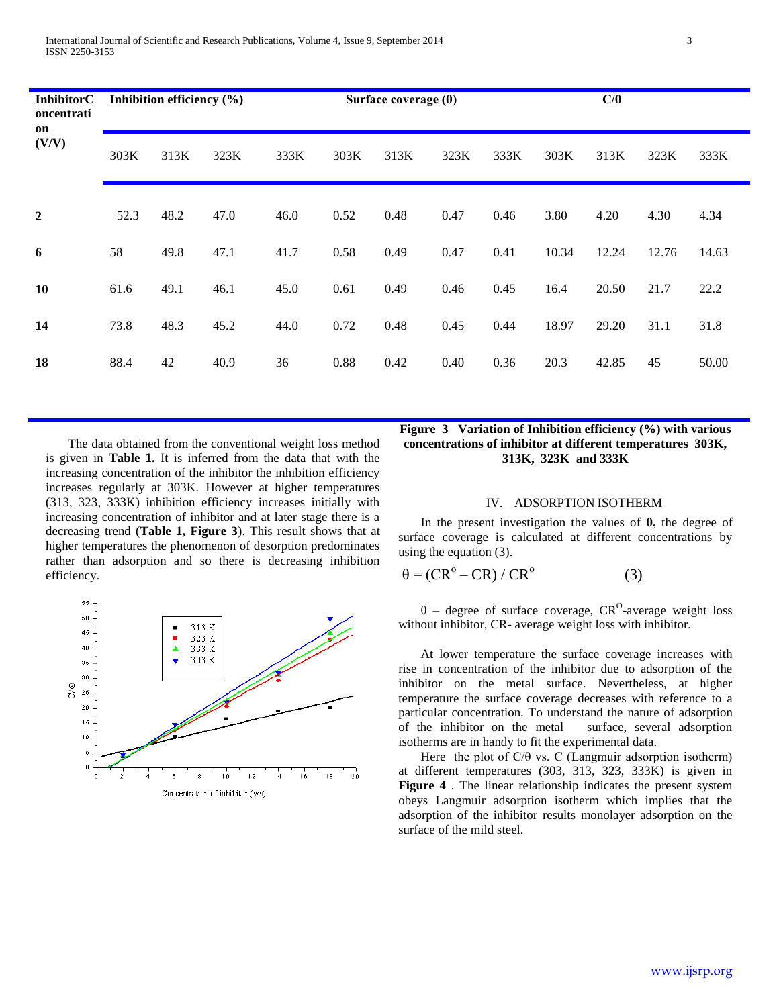| <b>InhibitorC</b><br>oncentrati<br>on<br>(V/V) | Inhibition efficiency $(\% )$ |      |      | Surface coverage $(\theta)$ |      |      |      |      | $C/\theta$ |       |       |       |
|------------------------------------------------|-------------------------------|------|------|-----------------------------|------|------|------|------|------------|-------|-------|-------|
|                                                | 303K                          | 313K | 323K | 333K                        | 303K | 313K | 323K | 333K | 303K       | 313K  | 323K  | 333K  |
| $\overline{2}$                                 | 52.3                          | 48.2 | 47.0 | 46.0                        | 0.52 | 0.48 | 0.47 | 0.46 | 3.80       | 4.20  | 4.30  | 4.34  |
| 6                                              | 58                            | 49.8 | 47.1 | 41.7                        | 0.58 | 0.49 | 0.47 | 0.41 | 10.34      | 12.24 | 12.76 | 14.63 |
| 10                                             | 61.6                          | 49.1 | 46.1 | 45.0                        | 0.61 | 0.49 | 0.46 | 0.45 | 16.4       | 20.50 | 21.7  | 22.2  |
| 14                                             | 73.8                          | 48.3 | 45.2 | 44.0                        | 0.72 | 0.48 | 0.45 | 0.44 | 18.97      | 29.20 | 31.1  | 31.8  |
| 18                                             | 88.4                          | 42   | 40.9 | 36                          | 0.88 | 0.42 | 0.40 | 0.36 | 20.3       | 42.85 | 45    | 50.00 |

 The data obtained from the conventional weight loss method is given in **Table 1.** It is inferred from the data that with the increasing concentration of the inhibitor the inhibition efficiency increases regularly at 303K. However at higher temperatures (313, 323, 333K) inhibition efficiency increases initially with increasing concentration of inhibitor and at later stage there is a decreasing trend (**Table 1, Figure 3**). This result shows that at higher temperatures the phenomenon of desorption predominates rather than adsorption and so there is decreasing inhibition efficiency.



## **Figure 3 Variation of Inhibition efficiency (%) with various concentrations of inhibitor at different temperatures 303K, 313K, 323K and 333K**

### IV. ADSORPTION ISOTHERM

 In the present investigation the values of **θ,** the degree of surface coverage is calculated at different concentrations by using the equation (3).

$$
\theta = (CR^{\circ} - CR) / CR^{\circ}
$$
 (3)

 $\theta$  – degree of surface coverage, CR<sup>O</sup>-average weight loss without inhibitor, CR- average weight loss with inhibitor.

 At lower temperature the surface coverage increases with rise in concentration of the inhibitor due to adsorption of the inhibitor on the metal surface. Nevertheless, at higher temperature the surface coverage decreases with reference to a particular concentration. To understand the nature of adsorption of the inhibitor on the metal surface, several adsorption isotherms are in handy to fit the experimental data.

Here the plot of  $C/\theta$  vs. C (Langmuir adsorption isotherm) at different temperatures (303, 313, 323, 333K) is given in **Figure 4** . The linear relationship indicates the present system obeys Langmuir adsorption isotherm which implies that the adsorption of the inhibitor results monolayer adsorption on the surface of the mild steel.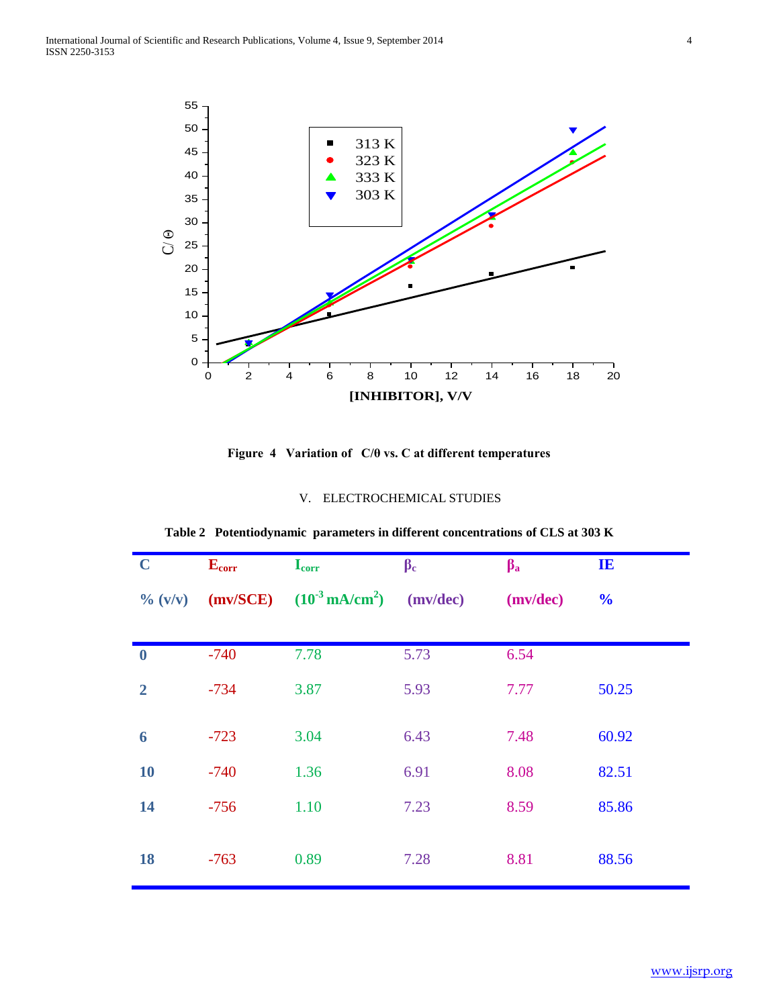

**Figure 4 Variation of C/θ vs. C at different temperatures**

# V. ELECTROCHEMICAL STUDIES

| $\mathbf C$           | $E_{corr}$ | $I_{corr}$                           | $\beta_c$ | $\beta$ <sub>a</sub> | $\mathbf{I}$   |
|-----------------------|------------|--------------------------------------|-----------|----------------------|----------------|
| $\frac{6}{100}$ (v/v) | (mv/SCE)   | $(10^{-3} \text{ mA/cm}^2)$ (mv/dec) |           | (mv/dec)             | $\frac{6}{10}$ |
|                       |            |                                      |           |                      |                |
| $\boldsymbol{0}$      | $-740$     | 7.78                                 | 5.73      | 6.54                 |                |
| $\overline{2}$        | $-734$     | 3.87                                 | 5.93      | 7.77                 | 50.25          |
| 6                     | $-723$     | 3.04                                 | 6.43      | 7.48                 | 60.92          |
| <b>10</b>             | $-740$     | 1.36                                 | 6.91      | 8.08                 | 82.51          |
| 14                    | $-756$     | 1.10                                 | 7.23      | 8.59                 | 85.86          |
| 18                    | $-763$     | 0.89                                 | 7.28      | 8.81                 | 88.56          |

**Table 2 Potentiodynamic parameters in different concentrations of CLS at 303 K**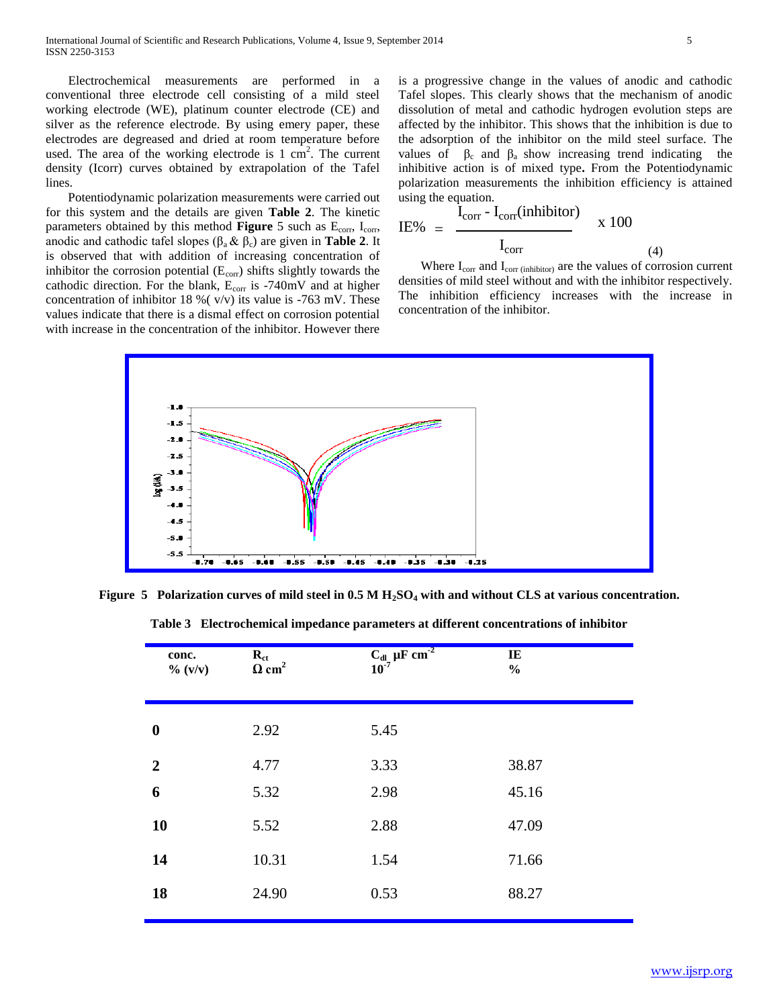Electrochemical measurements are performed in a conventional three electrode cell consisting of a mild steel working electrode (WE), platinum counter electrode (CE) and silver as the reference electrode. By using emery paper, these electrodes are degreased and dried at room temperature before used. The area of the working electrode is  $1 \text{ cm}^2$ . The current density (Icorr) curves obtained by extrapolation of the Tafel lines.

 Potentiodynamic polarization measurements were carried out for this system and the details are given **Table 2**. The kinetic parameters obtained by this method **Figure** 5 such as E<sub>corr</sub>, I<sub>corr</sub>, anodic and cathodic tafel slopes  $(\beta_a \& \beta_c)$  are given in **Table 2**. It is observed that with addition of increasing concentration of inhibitor the corrosion potential  $(E_{\text{corr}})$  shifts slightly towards the cathodic direction. For the blank, E<sub>corr</sub> is -740mV and at higher concentration of inhibitor 18 %( v/v) its value is -763 mV. These values indicate that there is a dismal effect on corrosion potential with increase in the concentration of the inhibitor. However there

is a progressive change in the values of anodic and cathodic Tafel slopes. This clearly shows that the mechanism of anodic dissolution of metal and cathodic hydrogen evolution steps are affected by the inhibitor. This shows that the inhibition is due to the adsorption of the inhibitor on the mild steel surface. The values of  $\beta_c$  and  $\beta_a$  show increasing trend indicating the inhibitive action is of mixed type**.** From the Potentiodynamic polarization measurements the inhibition efficiency is attained using the equation.

$$
IE\% = \frac{I_{corr} - I_{corr}(inhibitor)}{I_{corr}} \qquad x \qquad 100
$$
 (4)

Where  $I_{\text{corr}}$  and  $I_{\text{corr}}$  (inhibitor) are the values of corrosion current densities of mild steel without and with the inhibitor respectively. The inhibition efficiency increases with the increase in concentration of the inhibitor.



**Figure 5 Polarization curves of mild steel in 0.5 M H2SO<sup>4</sup> with and without CLS at various concentration.**

| $R_{ct}$<br>conc.<br>$\Omega$ cm <sup>2</sup><br>$\% (v/v)$ | $C_{\rm dl}$ $\mu$ F cm <sup>2</sup> | IE<br>$\frac{0}{0}$ |
|-------------------------------------------------------------|--------------------------------------|---------------------|
| 2.92<br>$\boldsymbol{0}$                                    | 5.45                                 |                     |
| 4.77<br>$\overline{2}$                                      | 3.33                                 | 38.87               |
| 6<br>5.32                                                   | 2.98                                 | 45.16               |
| 10<br>5.52                                                  | 2.88                                 | 47.09               |
| 10.31<br>14                                                 | 1.54                                 | 71.66               |
| 24.90<br>18                                                 | 0.53                                 | 88.27               |

**Table 3 Electrochemical impedance parameters at different concentrations of inhibitor**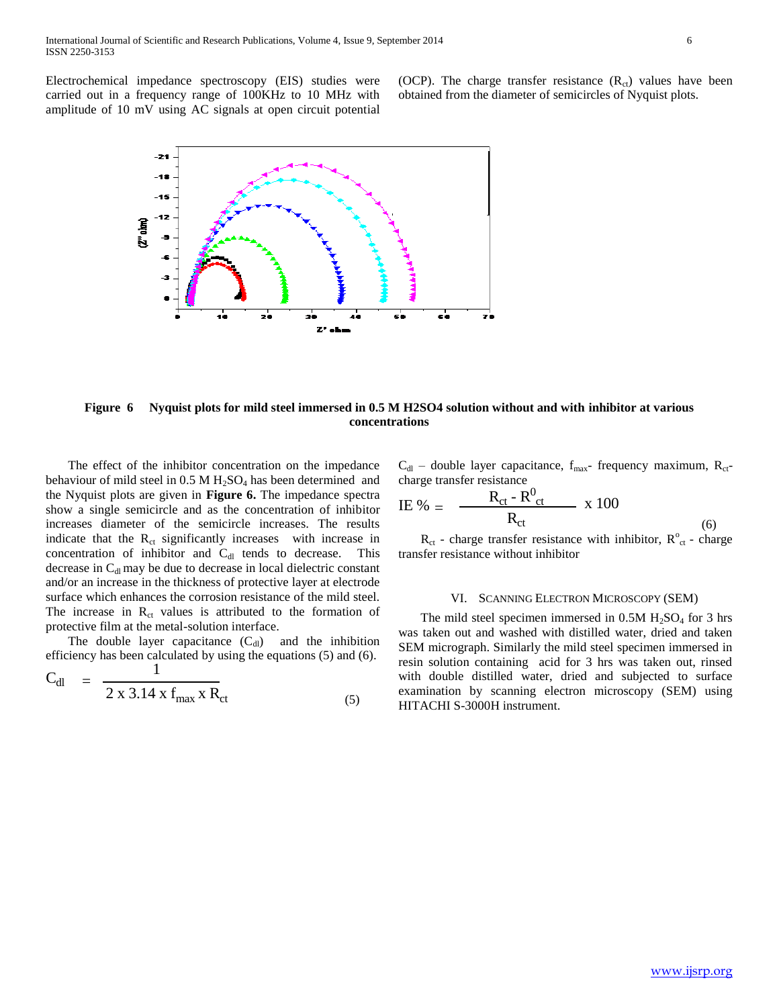Electrochemical impedance spectroscopy (EIS) studies were carried out in a frequency range of 100KHz to 10 MHz with amplitude of 10 mV using AC signals at open circuit potential

(OCP). The charge transfer resistance  $(R<sub>ct</sub>)$  values have been obtained from the diameter of semicircles of Nyquist plots.



## **Figure 6 Nyquist plots for mild steel immersed in 0.5 M H2SO4 solution without and with inhibitor at various concentrations**

 The effect of the inhibitor concentration on the impedance behaviour of mild steel in  $0.5 M H_2SO_4$  has been determined and the Nyquist plots are given in **Figure 6.** The impedance spectra show a single semicircle and as the concentration of inhibitor increases diameter of the semicircle increases. The results indicate that the  $R<sub>ct</sub>$  significantly increases with increase in concentration of inhibitor and  $C_{dl}$  tends to decrease. This decrease in  $C<sub>dl</sub>$  may be due to decrease in local dielectric constant and/or an increase in the thickness of protective layer at electrode surface which enhances the corrosion resistance of the mild steel. The increase in  $R_{ct}$  values is attributed to the formation of protective film at the metal-solution interface.

The double layer capacitance  $(C_{\rm dl})$  and the inhibition efficiency has been calculated by using the equations (5) and (6).

$$
C_{dl} = \frac{1}{2 \times 3.14 \times f_{max} \times R_{ct}}
$$
 (5)

$$
C_{dl}
$$
 – double layer capacitance,  $f_{max}$  frequency maximum,  $R_{ct}$  -charge transfer resistance

$$
I E \% = \frac{R_{ct} - R_{ct}^0}{R_{ct}} \times 100
$$

 $R_{ct}$  - charge transfer resistance with inhibitor,  $R_{ct}^{\circ}$  - charge transfer resistance without inhibitor

#### VI. SCANNING ELECTRON MICROSCOPY (SEM)

The mild steel specimen immersed in  $0.5M H<sub>2</sub>SO<sub>4</sub>$  for 3 hrs was taken out and washed with distilled water, dried and taken SEM micrograph. Similarly the mild steel specimen immersed in resin solution containing acid for 3 hrs was taken out, rinsed with double distilled water, dried and subjected to surface examination by scanning electron microscopy (SEM) using HITACHI S-3000H instrument.

(6)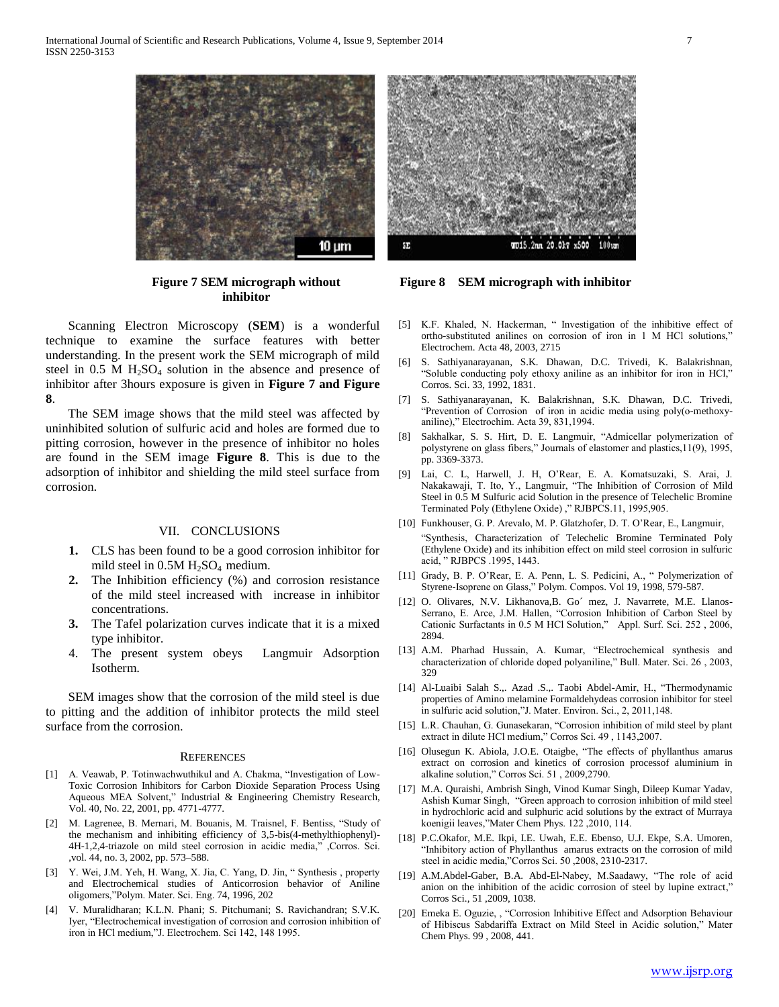

**Figure 7 SEM micrograph without inhibitor**

 Scanning Electron Microscopy (**SEM**) is a wonderful technique to examine the surface features with better understanding. In the present work the SEM micrograph of mild steel in  $0.5$  M  $H<sub>2</sub>SO<sub>4</sub>$  solution in the absence and presence of inhibitor after 3hours exposure is given in **Figure 7 and Figure 8**.

 The SEM image shows that the mild steel was affected by uninhibited solution of sulfuric acid and holes are formed due to pitting corrosion, however in the presence of inhibitor no holes are found in the SEM image **Figure 8**. This is due to the adsorption of inhibitor and shielding the mild steel surface from corrosion.

## VII. CONCLUSIONS

- **1.** CLS has been found to be a good corrosion inhibitor for mild steel in  $0.5M H<sub>2</sub>SO<sub>4</sub>$  medium.
- **2.** The Inhibition efficiency (%) and corrosion resistance of the mild steel increased with increase in inhibitor concentrations.
- **3.** The Tafel polarization curves indicate that it is a mixed type inhibitor.
- 4. The present system obeys Langmuir Adsorption Isotherm.

 SEM images show that the corrosion of the mild steel is due to pitting and the addition of inhibitor protects the mild steel surface from the corrosion.

#### **REFERENCES**

- [1] A. Veawab, P. Totinwachwuthikul and A. Chakma, "Investigation of Low-Toxic Corrosion Inhibitors for Carbon Dioxide Separation Process Using Aqueous MEA Solvent," Industrial & Engineering Chemistry Research, Vol. 40, No. 22, 2001, pp. 4771-4777.
- [2] M. Lagrenee, B. Mernari, M. Bouanis, M. Traisnel, F. Bentiss, "Study of the mechanism and inhibiting efficiency of 3,5-bis(4-methylthiophenyl)- 4H-1,2,4-triazole on mild steel corrosion in acidic media," ,Corros. Sci. ,vol. 44, no. 3, 2002, pp. 573–588.
- [3] Y. Wei, J.M. Yeh, H. Wang, X. Jia, C. Yang, D. Jin, " Synthesis , property and Electrochemical studies of Anticorrosion behavior of Aniline oligomers,"Polym. Mater. Sci. Eng. 74, 1996, 202
- [4] V. Muralidharan; K.L.N. Phani; S. Pitchumani; S. Ravichandran; S.V.K. Iyer, "Electrochemical investigation of corrosion and corrosion inhibition of iron in HCl medium,"J. Electrochem. Sci 142, 148 1995.



**Figure 8 SEM micrograph with inhibitor**

- [5] K.F. Khaled, N. Hackerman, " Investigation of the inhibitive effect of ortho-substituted anilines on corrosion of iron in 1 M HCl solutions," Electrochem. Acta 48, 2003, 2715
- [6] S. Sathiyanarayanan, S.K. Dhawan, D.C. Trivedi, K. Balakrishnan, "Soluble conducting poly ethoxy aniline as an inhibitor for iron in HCl," Corros. Sci. 33, 1992, 1831.
- [7] S. Sathiyanarayanan, K. Balakrishnan, S.K. Dhawan, D.C. Trivedi, "Prevention of Corrosion of iron in acidic media using poly(o-methoxyaniline)," Electrochim. Acta 39, 831,1994.
- [8] Sakhalkar, S. S. Hirt, D. E. Langmuir, "Admicellar polymerization of polystyrene on glass fibers," Journals of elastomer and plastics,11(9), 1995, pp. 3369-3373.
- [9] Lai, C. L, Harwell, J. H, O'Rear, E. A. Komatsuzaki, S. Arai, J. Nakakawaji, T. Ito, Y., Langmuir, "The Inhibition of Corrosion of Mild Steel in 0.5 M Sulfuric acid Solution in the presence of Telechelic Bromine Terminated Poly (Ethylene Oxide) ," RJBPCS.11, 1995,905.
- [10] Funkhouser, G. P. Arevalo, M. P. Glatzhofer, D. T. O'Rear, E., Langmuir, "Synthesis, Characterization of Telechelic Bromine Terminated Poly (Ethylene Oxide) and its inhibition effect on mild steel corrosion in sulfuric acid, " RJBPCS .1995, 1443.
- [11] Grady, B. P. O'Rear, E. A. Penn, L. S. Pedicini, A., " Polymerization of Styrene-Isoprene on Glass," Polym. Compos. Vol 19, 1998, 579-587.
- [12] O. Olivares, N.V. Likhanova, B. Go' mez, J. Navarrete, M.E. Llanos-Serrano, E. Arce, J.M. Hallen, "Corrosion Inhibition of Carbon Steel by Cationic Surfactants in 0.5 M HCl Solution," Appl. Surf. Sci. 252 , 2006, 2894.
- [13] A.M. Pharhad Hussain, A. Kumar, "Electrochemical synthesis and characterization of chloride doped polyaniline," Bull. Mater. Sci. 26 , 2003, 329
- [14] Al-Luaibi Salah S.,. Azad .S.,. Taobi Abdel-Amir, H., "Thermodynamic properties of Amino melamine Formaldehydeas corrosion inhibitor for steel in sulfuric acid solution,"J. Mater. Environ. Sci., 2, 2011,148.
- [15] L.R. Chauhan, G. Gunasekaran, "Corrosion inhibition of mild steel by plant extract in dilute HCl medium," Corros Sci. 49 , 1143,2007.
- [16] Olusegun K. Abiola, J.O.E. Otaigbe, "The effects of phyllanthus amarus extract on corrosion and kinetics of corrosion processof aluminium in alkaline solution," Corros Sci. 51 , 2009,2790.
- [17] M.A. Quraishi, Ambrish Singh, Vinod Kumar Singh, Dileep Kumar Yadav, Ashish Kumar Singh, "Green approach to corrosion inhibition of mild steel in hydrochloric acid and sulphuric acid solutions by the extract of Murraya koenigii leaves,"Mater Chem Phys. 122 ,2010, 114.
- [18] P.C.Okafor, M.E. Ikpi, I.E. Uwah, E.E. Ebenso, U.J. Ekpe, S.A. Umoren, "Inhibitory action of Phyllanthus amarus extracts on the corrosion of mild steel in acidic media,"Corros Sci. 50 ,2008, 2310-2317.
- [19] A.M.Abdel-Gaber, B.A. Abd-El-Nabey, M.Saadawy, "The role of acid anion on the inhibition of the acidic corrosion of steel by lupine extract," Corros Sci., 51 ,2009, 1038.
- [20] Emeka E. Oguzie, , "Corrosion Inhibitive Effect and Adsorption Behaviour of Hibiscus Sabdariffa Extract on Mild Steel in Acidic solution," Mater Chem Phys. 99 , 2008, 441.